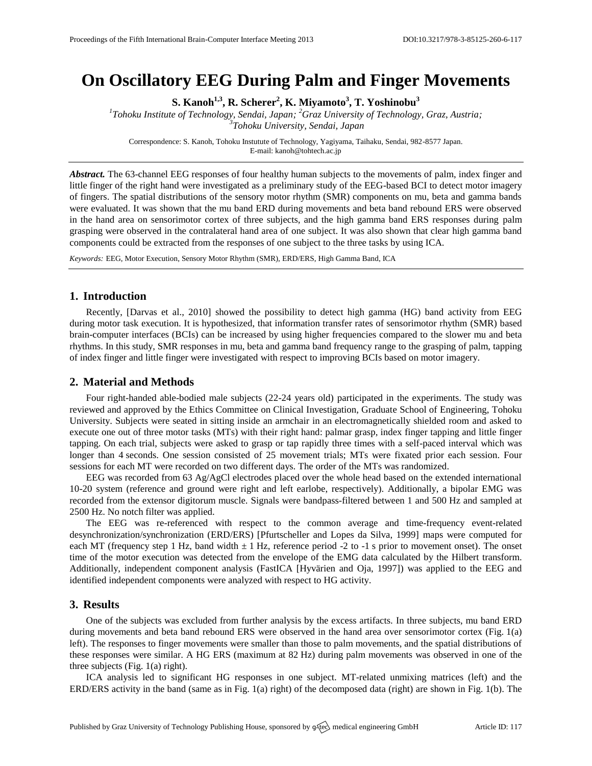# **On Oscillatory EEG During Palm and Finger Movements**

**S. Kanoh1,3, R. Scherer<sup>2</sup> , K. Miyamoto<sup>3</sup> , T. Yoshinobu<sup>3</sup>**

*1 Tohoku Institute of Technology, Sendai, Japan; <sup>2</sup>Graz University of Technology, Graz, Austria; 3 Tohoku University, Sendai, Japan*

Correspondence: S. Kanoh, Tohoku Instutute of Technology, Yagiyama, Taihaku, Sendai, 982-8577 Japan. E-mail[: kanoh@tohtech.ac.jp](mailto:kanoh@tohtech.ac.jp)

*Abstract.* The 63-channel EEG responses of four healthy human subjects to the movements of palm, index finger and little finger of the right hand were investigated as a preliminary study of the EEG-based BCI to detect motor imagery of fingers. The spatial distributions of the sensory motor rhythm (SMR) components on mu, beta and gamma bands were evaluated. It was shown that the mu band ERD during movements and beta band rebound ERS were observed in the hand area on sensorimotor cortex of three subjects, and the high gamma band ERS responses during palm grasping were observed in the contralateral hand area of one subject. It was also shown that clear high gamma band components could be extracted from the responses of one subject to the three tasks by using ICA.

*Keywords:* EEG, Motor Execution, Sensory Motor Rhythm (SMR), ERD/ERS, High Gamma Band, ICA

# **1. Introduction**

Recently, [Darvas et al., 2010] showed the possibility to detect high gamma (HG) band activity from EEG during motor task execution. It is hypothesized, that information transfer rates of sensorimotor rhythm (SMR) based brain-computer interfaces (BCIs) can be increased by using higher frequencies compared to the slower mu and beta rhythms. In this study, SMR responses in mu, beta and gamma band frequency range to the grasping of palm, tapping of index finger and little finger were investigated with respect to improving BCIs based on motor imagery.

# **2. Material and Methods**

Four right-handed able-bodied male subjects (22-24 years old) participated in the experiments. The study was reviewed and approved by the Ethics Committee on Clinical Investigation, Graduate School of Engineering, Tohoku University. Subjects were seated in sitting inside an armchair in an electromagnetically shielded room and asked to execute one out of three motor tasks (MTs) with their right hand: palmar grasp, index finger tapping and little finger tapping. On each trial, subjects were asked to grasp or tap rapidly three times with a self-paced interval which was longer than 4 seconds. One session consisted of 25 movement trials; MTs were fixated prior each session. Four sessions for each MT were recorded on two different days. The order of the MTs was randomized.

EEG was recorded from 63 Ag/AgCl electrodes placed over the whole head based on the extended international 10-20 system (reference and ground were right and left earlobe, respectively). Additionally, a bipolar EMG was recorded from the extensor digitorum muscle. Signals were bandpass-filtered between 1 and 500 Hz and sampled at 2500 Hz. No notch filter was applied.

The EEG was re-referenced with respect to the common average and time-frequency event-related desynchronization/synchronization (ERD/ERS) [Pfurtscheller and Lopes da Silva, 1999] maps were computed for each MT (frequency step 1 Hz, band width  $\pm$  1 Hz, reference period -2 to -1 s prior to movement onset). The onset time of the motor execution was detected from the envelope of the EMG data calculated by the Hilbert transform. Additionally, independent component analysis (FastICA [Hyvärien and Oja, 1997]) was applied to the EEG and identified independent components were analyzed with respect to HG activity.

### **3. Results**

One of the subjects was excluded from further analysis by the excess artifacts. In three subjects, mu band ERD during movements and beta band rebound ERS were observed in the hand area over sensorimotor cortex (Fig. 1(a) left). The responses to finger movements were smaller than those to palm movements, and the spatial distributions of these responses were similar. A HG ERS (maximum at 82 Hz) during palm movements was observed in one of the three subjects (Fig. 1(a) right).

ICA analysis led to significant HG responses in one subject. MT-related unmixing matrices (left) and the ERD/ERS activity in the band (same as in Fig. 1(a) right) of the decomposed data (right) are shown in Fig. 1(b). The